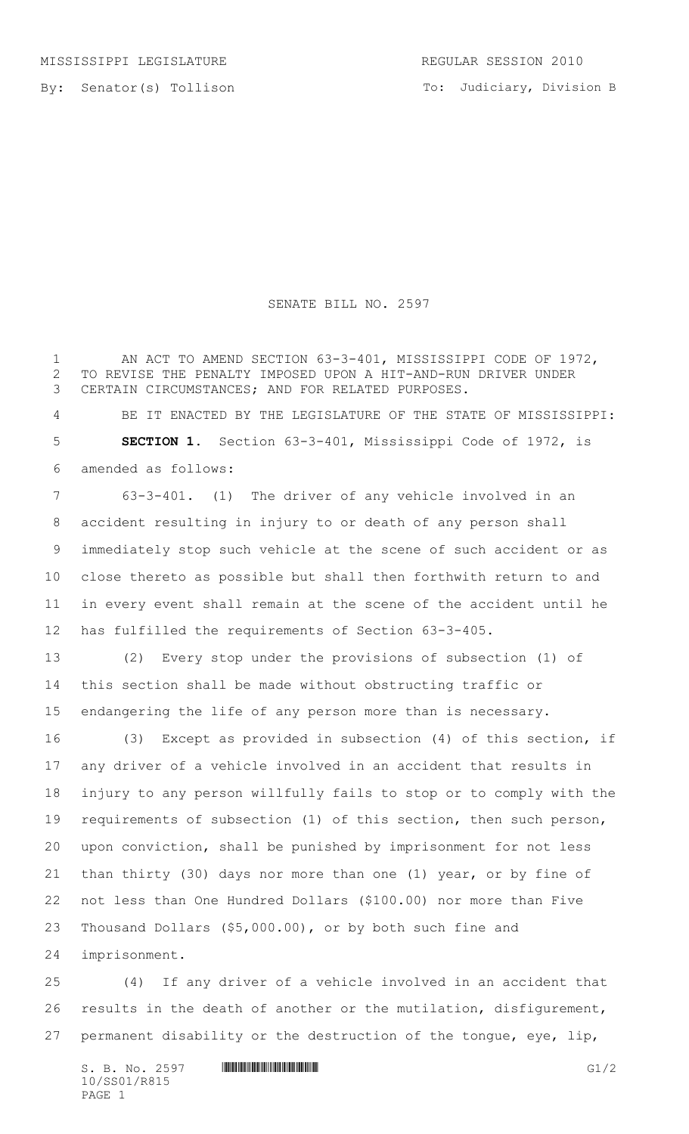By: Senator(s) Tollison

## SENATE BILL NO. 2597

1 AN ACT TO AMEND SECTION 63-3-401, MISSISSIPPI CODE OF 1972, TO REVISE THE PENALTY IMPOSED UPON A HIT-AND-RUN DRIVER UNDER CERTAIN CIRCUMSTANCES; AND FOR RELATED PURPOSES.

 BE IT ENACTED BY THE LEGISLATURE OF THE STATE OF MISSISSIPPI: **SECTION 1.** Section 63-3-401, Mississippi Code of 1972, is amended as follows:

 63-3-401. (1) The driver of any vehicle involved in an accident resulting in injury to or death of any person shall immediately stop such vehicle at the scene of such accident or as close thereto as possible but shall then forthwith return to and in every event shall remain at the scene of the accident until he has fulfilled the requirements of Section 63-3-405.

 (2) Every stop under the provisions of subsection (1) of this section shall be made without obstructing traffic or endangering the life of any person more than is necessary.

 (3) Except as provided in subsection (4) of this section, if any driver of a vehicle involved in an accident that results in injury to any person willfully fails to stop or to comply with the requirements of subsection (1) of this section, then such person, upon conviction, shall be punished by imprisonment for not less than thirty (30) days nor more than one (1) year, or by fine of not less than One Hundred Dollars (\$100.00) nor more than Five Thousand Dollars (\$5,000.00), or by both such fine and

imprisonment.

 (4) If any driver of a vehicle involved in an accident that results in the death of another or the mutilation, disfigurement, permanent disability or the destruction of the tongue, eye, lip,

S. B. No. 2597 \*SS01/R815\* G1/2 10/SS01/R815 PAGE 1